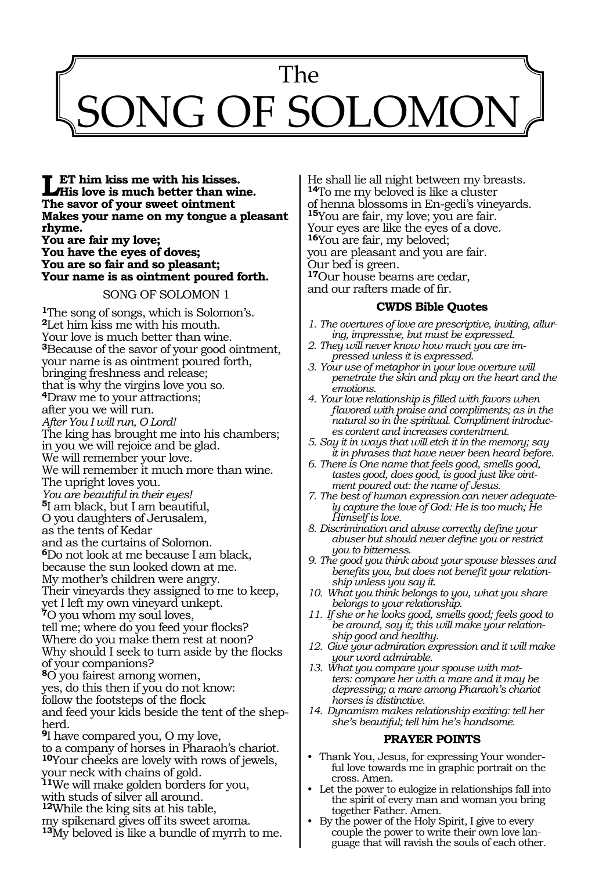# 841 The NG OF SOLOMOI

**LET** him kiss me with his kisses.<br> **His love is much better than wine.**<br>
The same of mour smoot sintment. **The savor of your sweet ointment Makes your name on my tongue a pleasant rhyme. You are fair my love;**

**You have the eyes of doves; You are so fair and so pleasant; Your name is as ointment poured forth.**

## SONG OF SOLOMON 1

**<sup>1</sup>**The song of songs, which is Solomon's. <sup>2</sup>Let him kiss me with his mouth. Your love is much better than wine. **<sup>3</sup>**Because of the savor of your good ointment, your name is as ointment poured forth, bringing freshness and release; that is why the virgins love you so. **<sup>4</sup>**Draw me to your attractions; after you we will run. *After You I will run, O Lord!*  The king has brought me into his chambers; in you we will rejoice and be glad. We will remember your love. We will remember it much more than wine. The upright loves you. *You are beautiful in their eyes!*  **<sup>5</sup>**I am black, but I am beautiful, O you daughters of Jerusalem, as the tents of Kedar and as the curtains of Solomon. **<sup>6</sup>**Do not look at me because I am black, because the sun looked down at me. My mother's children were angry. Their vineyards they assigned to me to keep, yet I left my own vineyard unkept. **<sup>7</sup>**O you whom my soul loves, tell me; where do you feed your flocks? Where do you make them rest at noon? Why should I seek to turn aside by the flocks of your companions? **<sup>8</sup>**O you fairest among women, yes, do this then if you do not know: follow the footsteps of the flock and feed your kids beside the tent of the shepherd. **<sup>9</sup>**I have compared you, O my love, to a company of horses in Pharaoh's chariot. **<sup>10</sup>**Your cheeks are lovely with rows of jewels, your neck with chains of gold. **<sup>11</sup>**We will make golden borders for you, with studs of silver all around. **<sup>12</sup>**While the king sits at his table, my spikenard gives off its sweet aroma. **<sup>13</sup>**My beloved is like a bundle of myrrh to me.

He shall lie all night between my breasts. **<sup>14</sup>**To me my beloved is like a cluster of henna blossoms in En-gedi's vineyards. **<sup>15</sup>**You are fair, my love; you are fair. Your eyes are like the eyes of a dove. **<sup>16</sup>**You are fair, my beloved; you are pleasant and you are fair. Our bed is green. **<sup>17</sup>**Our house beams are cedar, and our rafters made of fir.

# **CWDS Bible Quotes**

- *1. The overtures of love are prescriptive, inviting, alluring, impressive, but must be expressed.*
- *2. They will never know how much you are impressed unless it is expressed.*
- *3. Your use of metaphor in your love overture will penetrate the skin and play on the heart and the emotions.*
- *4. Your love relationship is filled with favors when flavored with praise and compliments; as in the natural so in the spiritual. Compliment introduces content and increases contentment.*
- *5. Say it in ways that will etch it in the memory; say it in phrases that have never been heard before.*
- *6. There is One name that feels good, smells good, tastes good, does good, is good just like ointment poured out: the name of Jesus.*
- *7. The best of human expression can never adequately capture the love of God: He is too much; He Himself is love.*
- *8. Discrimination and abuse correctly define your abuser but should never define you or restrict you to bitterness.*
- *9. The good you think about your spouse blesses and benefits you, but does not benefit your relationship unless you say it.*
- *10. What you think belongs to you, what you share belongs to your relationship.*
- *11. If she or he looks good, smells good; feels good to be around, say it; this will make your relationship good and healthy.*
- *12. Give your admiration expression and it will make your word admirable.*
- *13. What you compare your spouse with matters: compare her with a mare and it may be depressing; a mare among Pharaoh's chariot horses is distinctive.*
- *14. Dynamism makes relationship exciting: tell her she's beautiful; tell him he's handsome.*

# **PRAYER POINTS**

- Thank You, Jesus, for expressing Your wonderful love towards me in graphic portrait on the cross. Amen.
- Let the power to eulogize in relationships fall into the spirit of every man and woman you bring together Father. Amen.
- By the power of the Holy Spirit, I give to every couple the power to write their own love language that will ravish the souls of each other.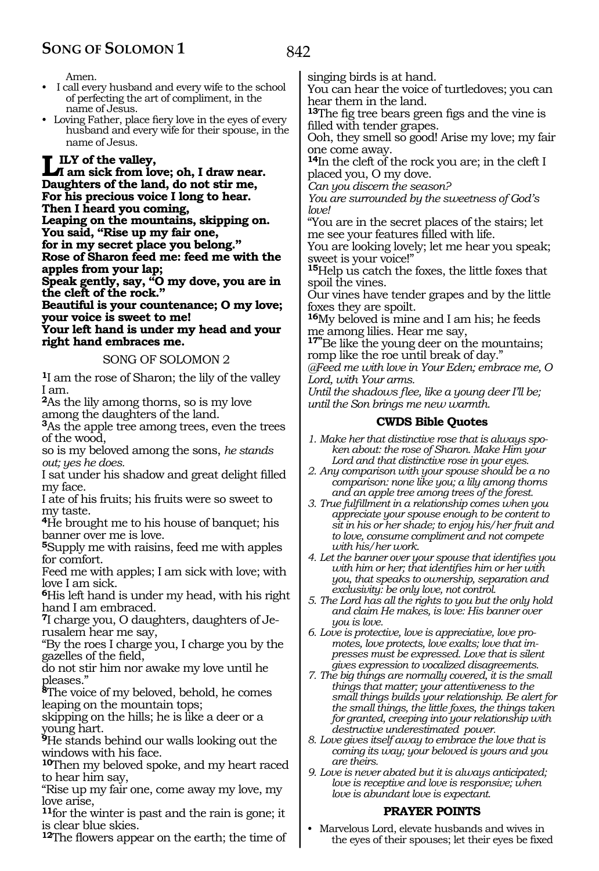Amen.

- I call every husband and every wife to the school of perfecting the art of compliment, in the name of Jesus.
- Loving Father, place fiery love in the eyes of every husband and every wife for their spouse, in the name of Jesus.

**LILY** of the valley,<br> **I** am sick from love; oh, I draw near. **Daughters of the land, do not stir me, For his precious voice I long to hear. Then I heard you coming, Leaping on the mountains, skipping on.**

**You said, "Rise up my fair one,**

**for in my secret place you belong."** 

**Rose of Sharon feed me: feed me with the apples from your lap;** 

**Speak gently, say, "O my dove, you are in the cleft of the rock."** 

**Beautiful is your countenance; O my love; your voice is sweet to me!** 

**Your left hand is under my head and your right hand embraces me.** 

# SONG OF SOLOMON 2

**<sup>1</sup>**I am the rose of Sharon; the lily of the valley I am.

**<sup>2</sup>**As the lily among thorns, so is my love among the daughters of the land.

**<sup>3</sup>**As the apple tree among trees, even the trees of the wood,

so is my beloved among the sons, *he stands out; yes he does.* 

I sat under his shadow and great delight filled my face.

I ate of his fruits; his fruits were so sweet to my taste.

**<sup>4</sup>**He brought me to his house of banquet; his banner over me is love.

**<sup>5</sup>**Supply me with raisins, feed me with apples for comfort.

Feed me with apples; I am sick with love; with love I am sick.

**<sup>6</sup>**His left hand is under my head, with his right hand I am embraced.

**7**I charge you, O daughters, daughters of Jerusalem hear me say,

"By the roes I charge you, I charge you by the gazelles of the field,

do not stir him nor awake my love until he pleases."

**<sup>8</sup>**The voice of my beloved, behold, he comes leaping on the mountain tops;

skipping on the hills; he is like a deer or a young hart.

**<sup>9</sup>**He stands behind our walls looking out the windows with his face.

**<sup>10</sup>**Then my beloved spoke, and my heart raced to hear him say,

"Rise up my fair one, come away my love, my love arise,

**<sup>11</sup>**for the winter is past and the rain is gone; it is clear blue skies.

**<sup>12</sup>**The flowers appear on the earth; the time of

singing birds is at hand.

You can hear the voice of turtledoves; you can hear them in the land.

**<sup>13</sup>**The fig tree bears green figs and the vine is filled with tender grapes.

Ooh, they smell so good! Arise my love; my fair one come away.

**<sup>14</sup>**In the cleft of the rock you are; in the cleft I placed you, O my dove.

*Can you discern the season?*

*You are surrounded by the sweetness of God's love!*

"You are in the secret places of the stairs; let me see your features filled with life.

You are looking lovely; let me hear you speak; sweet is your voice!"

**<sup>15</sup>**Help us catch the foxes, the little foxes that spoil the vines.

Our vines have tender grapes and by the little foxes they are spoilt.

**<sup>16</sup>**My beloved is mine and I am his; he feeds me among lilies. Hear me say,

**17"**Be like the young deer on the mountains; romp like the roe until break of day."

*@Feed me with love in Your Eden; embrace me, O Lord, with Your arms.* 

*Until the shadows flee, like a young deer I'll be; until the Son brings me new warmth.* 

# **CWDS Bible Quotes**

- *1. Make her that distinctive rose that is always spoken about: the rose of Sharon. Make Him your Lord and that distinctive rose in your eyes.*
- *2. Any comparison with your spouse should be a no comparison: none like you; a lily among thorns and an apple tree among trees of the forest.*
- *3. True fulfillment in a relationship comes when you appreciate your spouse enough to be content to sit in his or her shade; to enjoy his/her fruit and to love, consume compliment and not compete with his/her work.*
- *4. Let the banner over your spouse that identifies you with him or her; that identifies him or her with you, that speaks to ownership, separation and exclusivity: be only love, not control.*
- *5. The Lord has all the rights to you but the only hold and claim He makes, is love: His banner over you is love.*
- *6. Love is protective, love is appreciative, love promotes, love protects, love exalts; love that impresses must be expressed. Love that is silent gives expression to vocalized disagreements.*
- *7. The big things are normally covered, it is the small things that matter; your attentiveness to the small things builds your relationship. Be alert for the small things, the little foxes, the things taken for granted, creeping into your relationship with destructive underestimated power.*
- *8. Love gives itself away to embrace the love that is coming its way; your beloved is yours and you are theirs.*
- *9. Love is never abated but it is always anticipated; love is receptive and love is responsive; when love is abundant love is expectant.*

# **PRAYER POINTS**

• Marvelous Lord, elevate husbands and wives in the eyes of their spouses; let their eyes be fixed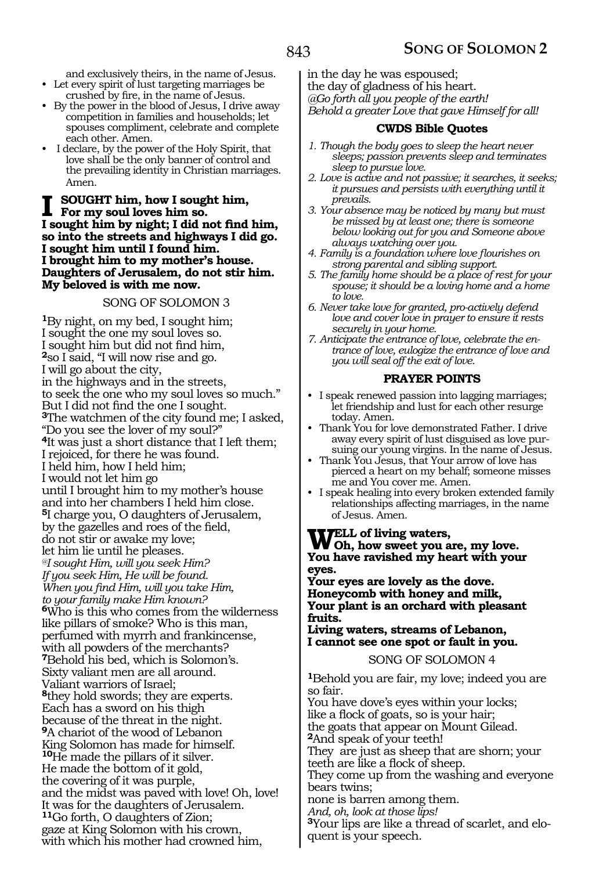and exclusively theirs, in the name of Jesus. • Let every spirit of lust targeting marriages be

- crushed by fire, in the name of Jesus. • By the power in the blood of Jesus, I drive away competition in families and households; let spouses compliment, celebrate and complete each other. Amen.
- I declare, by the power of the Holy Spirit, that love shall be the only banner of control and the prevailing identity in Christian marriages. Amen.

# **I** SOUGHT him, how I sought him,<br>For my soul loves him so. **I sought him by night; I did not find him, so into the streets and highways I did go. I sought him until I found him. I brought him to my mother's house. Daughters of Jerusalem, do not stir him. My beloved is with me now.**

# SONG OF SOLOMON 3

**<sup>1</sup>**By night, on my bed, I sought him; I sought the one my soul loves so. I sought him but did not find him, **<sup>2</sup>**so I said, "I will now rise and go. I will go about the city, in the highways and in the streets, to seek the one who my soul loves so much." But I did not find the one I sought. **<sup>3</sup>**The watchmen of the city found me; I asked, "Do you see the lover of my soul?" **<sup>4</sup>**It was just a short distance that I left them; I rejoiced, for there he was found. I held him, how I held him; I would not let him go until I brought him to my mother's house and into her chambers I held him close. **<sup>5</sup>**I charge you, O daughters of Jerusalem, by the gazelles and roes of the field, do not stir or awake my love; let him lie until he pleases. *@I sought Him, will you seek Him? If you seek Him, He will be found. When you find Him, will you take Him, to your family make Him known?* **<sup>6</sup>**Who is this who comes from the wilderness like pillars of smoke? Who is this man, perfumed with myrrh and frankincense, with all powders of the merchants? **<sup>7</sup>**Behold his bed, which is Solomon's. Sixty valiant men are all around. Valiant warriors of Israel; **<sup>8</sup>**they hold swords; they are experts. Each has a sword on his thigh because of the threat in the night. **<sup>9</sup>**A chariot of the wood of Lebanon King Solomon has made for himself. **<sup>10</sup>**He made the pillars of it silver. He made the bottom of it gold, the covering of it was purple, and the midst was paved with love! Oh, love! It was for the daughters of Jerusalem. **<sup>11</sup>**Go forth, O daughters of Zion; gaze at King Solomon with his crown, with which his mother had crowned him,

in the day he was espoused; the day of gladness of his heart. *@Go forth all you people of the earth! Behold a greater Love that gave Himself for all!*

# **CWDS Bible Quotes**

- *1. Though the body goes to sleep the heart never sleeps; passion prevents sleep and terminates sleep to pursue love.*
- *2. Love is active and not passive; it searches, it seeks; it pursues and persists with everything until it prevails.*
- *3. Your absence may be noticed by many but must be missed by at least one; there is someone below looking out for you and Someone above always watching over you.*
- *4. Family is a foundation where love flourishes on strong parental and sibling support.*
- *5. The family home should be a place of rest for your spouse; it should be a loving home and a home to love.*
- *6. Never take love for granted, pro-actively defend love and cover love in prayer to ensure it rests securely in your home.*
- *7. Anticipate the entrance of love, celebrate the entrance of love, eulogize the entrance of love and you will seal off the exit of love.*

# **PRAYER POINTS**

- I speak renewed passion into lagging marriages; let friendship and lust for each other resurge today. Amen.
- Thank You for love demonstrated Father. I drive away every spirit of lust disguised as love pursuing our young virgins. In the name of Jesus.
- Thank You Jesus, that Your arrow of love has pierced a heart on my behalf; someone misses me and You cover me. Amen.
- I speak healing into every broken extended family relationships affecting marriages, in the name of Jesus. Amen.

**Well of living waters, Oh, how sweet you are, my love. You have ravished my heart with your eyes.** 

**Your eyes are lovely as the dove. Honeycomb with honey and milk, Your plant is an orchard with pleasant fruits.** 

**Living waters, streams of Lebanon, I cannot see one spot or fault in you.** 

SONG OF SOLOMON 4

**<sup>1</sup>**Behold you are fair, my love; indeed you are so fair.

You have dove's eyes within your locks; like a flock of goats, so is your hair; the goats that appear on Mount Gilead. **<sup>2</sup>**And speak of your teeth! They are just as sheep that are shorn; your teeth are like a flock of sheep. They come up from the washing and everyone bears twins; none is barren among them. *And, oh, look at those lips!*  **<sup>3</sup>**Your lips are like a thread of scarlet, and elo- quent is your speech.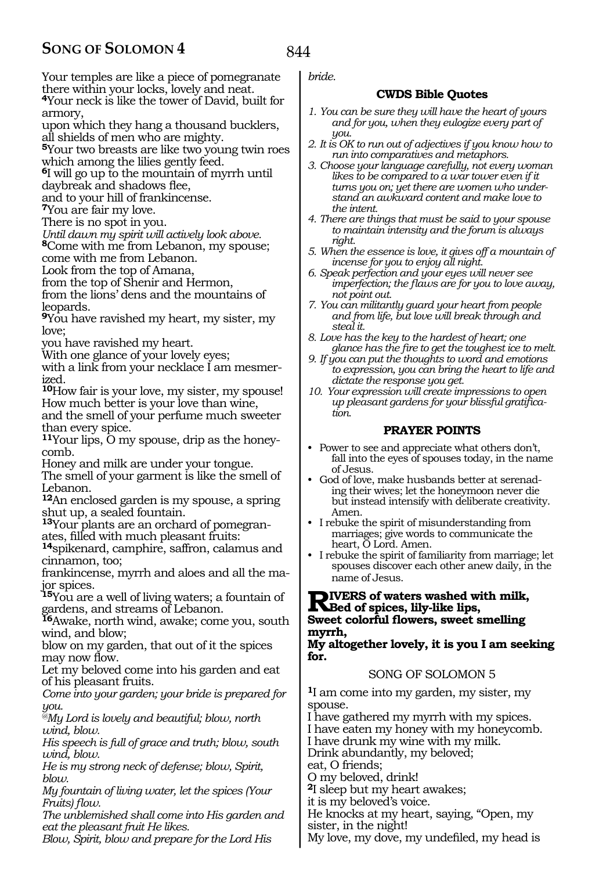Your temples are like a piece of pomegranate there within your locks, lovely and neat. **<sup>4</sup>**Your neck is like the tower of David, built for

armory,

upon which they hang a thousand bucklers, all shields of men who are mighty.

**<sup>5</sup>**Your two breasts are like two young twin roes

which among the lilies gently feed.

**<sup>6</sup>**I will go up to the mountain of myrrh until

daybreak and shadows flee, and to your hill of frankincense.

**<sup>7</sup>**You are fair my love.

There is no spot in you.

*Until dawn my spirit will actively look above.* 

**<sup>8</sup>**Come with me from Lebanon, my spouse;

come with me from Lebanon.

Look from the top of Amana, from the top of Shenir and Hermon,

from the lions' dens and the mountains of leopards.

**<sup>9</sup>**You have ravished my heart, my sister, my love;

you have ravished my heart.

With one glance of your lovely eyes;

with a link from your necklace I am mesmerized.

**<sup>10</sup>**How fair is your love, my sister, my spouse! How much better is your love than wine,

and the smell of your perfume much sweeter than every spice.

**11**Your lips, O my spouse, drip as the honeycomb.

Honey and milk are under your tongue.

The smell of your garment is like the smell of Lebanon.

**<sup>12</sup>**An enclosed garden is my spouse, a spring shut up, a sealed fountain.

**<sup>13</sup>**Your plants are an orchard of pomegran- ates, filled with much pleasant fruits:

**<sup>14</sup>**spikenard, camphire, saffron, calamus and cinnamon, too;

frankincense, myrrh and aloes and all the ma- jor spices.

**<sup>15</sup>**You are a well of living waters; a fountain of gardens, and streams of Lebanon.

**<sup>16</sup>**Awake, north wind, awake; come you, south wind, and blow;

blow on my garden, that out of it the spices may now flow.

Let my beloved come into his garden and eat of his pleasant fruits.

*Come into your garden; your bride is prepared for you.* 

*@My Lord is lovely and beautiful; blow, north wind, blow.* 

*His speech is full of grace and truth; blow, south wind, blow.* 

*He is my strong neck of defense; blow, Spirit, blow.* 

*My fountain of living water, let the spices (Your Fruits) flow.* 

*The unblemished shall come into His garden and eat the pleasant fruit He likes.* 

*Blow, Spirit, blow and prepare for the Lord His* 

*bride.* 

# **CWDS Bible Quotes**

- *1. You can be sure they will have the heart of yours and for you, when they eulogize every part of you.*
- *2. It is OK to run out of adjectives if you know how to run into comparatives and metaphors.*
- *3. Choose your language carefully, not every woman likes to be compared to a war tower even if it turns you on; yet there are women who understand an awkward content and make love to the intent.*
- *4. There are things that must be said to your spouse to maintain intensity and the forum is always right.*
- *5. When the essence is love, it gives off a mountain of incense for you to enjoy all night.*
- *6. Speak perfection and your eyes will never see imperfection; the flaws are for you to love away, not point out.*
- *7. You can militantly guard your heart from people and from life, but love will break through and steal it.*
- *8. Love has the key to the hardest of heart; one glance has the fire to get the toughest ice to melt.*
- *9. If you can put the thoughts to word and emotions to expression, you can bring the heart to life and dictate the response you get.*
- *10. Your expression will create impressions to open up pleasant gardens for your blissful gratification.*

# **PRAYER POINTS**

- Power to see and appreciate what others don't, fall into the eyes of spouses today, in the name of Jesus.
- God of love, make husbands better at serenading their wives; let the honeymoon never die but instead intensify with deliberate creativity. Amen.
- I rebuke the spirit of misunderstanding from marriages; give words to communicate the heart, O Lord. Amen.
- I rebuke the spirit of familiarity from marriage; let spouses discover each other anew daily, in the name of Jesus.

# **Rivers of waters washed with milk, Bed of spices, lily-like lips, Sweet colorful flowers, sweet smelling myrrh,**

## **My altogether lovely, it is you I am seeking for.**

# SONG OF SOLOMON 5

**<sup>1</sup>**I am come into my garden, my sister, my spouse.

I have gathered my myrrh with my spices.

I have eaten my honey with my honeycomb.

I have drunk my wine with my milk.

Drink abundantly, my beloved;

eat, O friends;

O my beloved, drink!

**<sup>2</sup>**I sleep but my heart awakes;

it is my beloved's voice.

He knocks at my heart, saying, "Open, my sister, in the night!

My love, my dove, my undefiled, my head is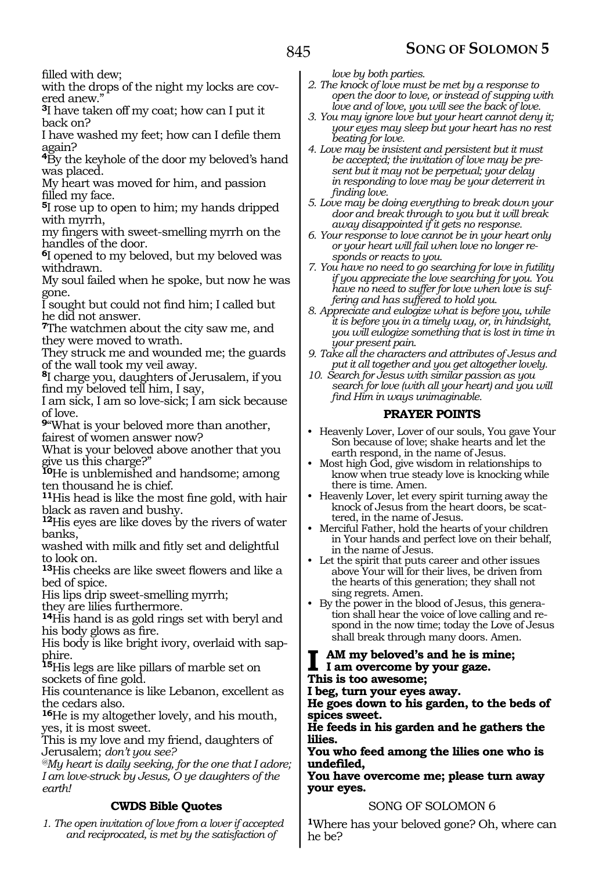filled with dew;

with the drops of the night my locks are covered anew."

**<sup>3</sup>**I have taken off my coat; how can I put it back on?

I have washed my feet; how can I defile them again?

**<sup>4</sup>**By the keyhole of the door my beloved's hand was placed.

My heart was moved for him, and passion filled my face.

**<sup>5</sup>**I rose up to open to him; my hands dripped with myrrh,

my fingers with sweet-smelling myrrh on the handles of the door.

**<sup>6</sup>**I opened to my beloved, but my beloved was withdrawn.

My soul failed when he spoke, but now he was gone.

I sought but could not find him; I called but he did not answer.

**<sup>7</sup>**The watchmen about the city saw me, and they were moved to wrath.

They struck me and wounded me; the guards of the wall took my veil away.

**<sup>8</sup>**I charge you, daughters of Jerusalem, if you find my beloved tell him, I say,

I am sick, I am so love-sick; I am sick because of love.

**<sup>9</sup>**"What is your beloved more than another, fairest of women answer now?

What is your beloved above another that you give us this charge?"

**<sup>10</sup>**He is unblemished and handsome; among ten thousand he is chief.

**<sup>11</sup>**His head is like the most fine gold, with hair black as raven and bushy.

**<sup>12</sup>**His eyes are like doves by the rivers of water banks,

washed with milk and fitly set and delightful to look on.

**<sup>13</sup>**His cheeks are like sweet flowers and like a bed of spice.

His lips drip sweet-smelling myrrh;

they are lilies furthermore.

**<sup>14</sup>**His hand is as gold rings set with beryl and his body glows as fire.

His body is like bright ivory, overlaid with sapphire.

**<sup>15</sup>**His legs are like pillars of marble set on sockets of fine gold.

His countenance is like Lebanon, excellent as the cedars also.

**<sup>16</sup>**He is my altogether lovely, and his mouth, yes, it is most sweet.

This is my love and my friend, daughters of Jerusalem; *don't you see?* 

*@My heart is daily seeking, for the one that I adore; I am love-struck by Jesus, O ye daughters of the earth!* 

# **CWDS Bible Quotes**

*1. The open invitation of love from a lover if accepted and reciprocated, is met by the satisfaction of* 

*love by both parties.* 

*2. The knock of love must be met by a response to open the door to love, or instead of supping with love and of love, you will see the back of love.*

*3. You may ignore love but your heart cannot deny it; your eyes may sleep but your heart has no rest beating for love.*

*4. Love may be insistent and persistent but it must be accepted; the invitation of love may be present but it may not be perpetual; your delay in responding to love may be your deterrent in finding love.*

*5. Love may be doing everything to break down your door and break through to you but it will break away disappointed if it gets no response.*

*6. Your response to love cannot be in your heart only or your heart will fail when love no longer responds or reacts to you.*

*7. You have no need to go searching for love in futility if you appreciate the love searching for you. You have no need to suffer for love when love is suffering and has suffered to hold you.* 

*8. Appreciate and eulogize what is before you, while it is before you in a timely way, or, in hindsight, you will eulogize something that is lost in time in your present pain.* 

*9. Take all the characters and attributes of Jesus and put it all together and you get altogether lovely.*

*10. Search for Jesus with similar passion as you search for love (with all your heart) and you will find Him in ways unimaginable.*

# **PRAYER POINTS**

• Heavenly Lover, Lover of our souls, You gave Your Son because of love; shake hearts and let the earth respond, in the name of Jesus.

• Most high God, give wisdom in relationships to know when true steady love is knocking while there is time. Amen.

• Heavenly Lover, let every spirit turning away the knock of Jesus from the heart doors, be scattered, in the name of Jesus.

• Merciful Father, hold the hearts of your children in Your hands and perfect love on their behalf, in the name of Jesus.

• Let the spirit that puts career and other issues above Your will for their lives, be driven from the hearts of this generation; they shall not sing regrets. Amen.

• By the power in the blood of Jesus, this generation shall hear the voice of love calling and respond in the now time; today the Love of Jesus shall break through many doors. Amen.

### AM my beloved's and he is mine; **I am overcome by your gaze. This is too awesome;**

**I beg, turn your eyes away.**

**He goes down to his garden, to the beds of spices sweet.**

**He feeds in his garden and he gathers the lilies.**

**You who feed among the lilies one who is undefiled,**

**You have overcome me; please turn away your eyes.** 

# SONG OF SOLOMON 6

**<sup>1</sup>**Where has your beloved gone? Oh, where can he be?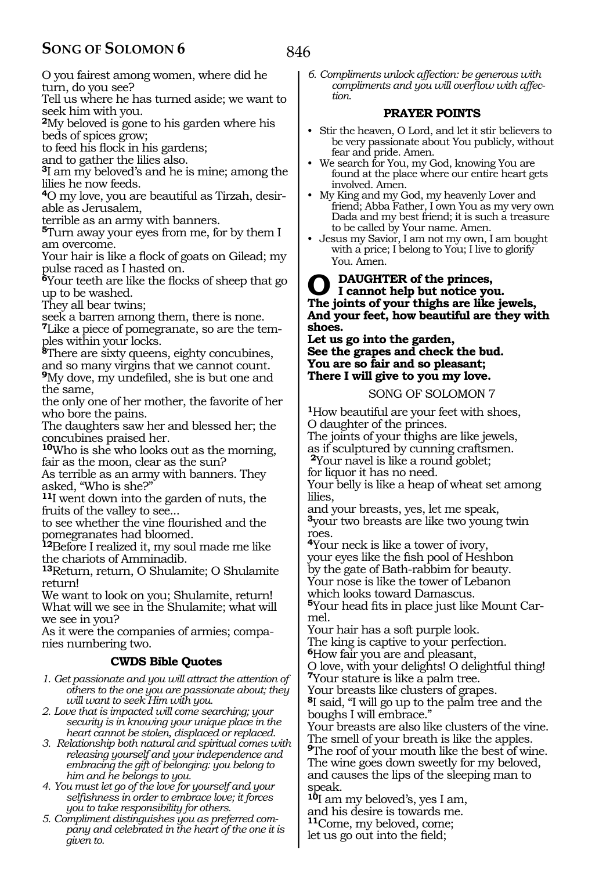# **SONG OF SOLOMON 6**

846

O you fairest among women, where did he turn, do you see?

Tell us where he has turned aside; we want to seek him with you.

**<sup>2</sup>**My beloved is gone to his garden where his beds of spices grow;

to feed his flock in his gardens;

and to gather the lilies also.

**<sup>3</sup>**I am my beloved's and he is mine; among the lilies he now feeds.

**<sup>4</sup>**O my love, you are beautiful as Tirzah, desir- able as Jerusalem,

terrible as an army with banners.

**<sup>5</sup>**Turn away your eyes from me, for by them I am overcome.

Your hair is like a flock of goats on Gilead; my pulse raced as I hasted on.

**<sup>6</sup>**Your teeth are like the flocks of sheep that go up to be washed.

They all bear twins;

seek a barren among them, there is none.

**7**Like a piece of pomegranate, so are the temples within your locks.

**<sup>8</sup>**There are sixty queens, eighty concubines, and so many virgins that we cannot count. **<sup>9</sup>**My dove, my undefiled, she is but one and the same,

the only one of her mother, the favorite of her who bore the pains.

The daughters saw her and blessed her; the concubines praised her.

**<sup>10</sup>**Who is she who looks out as the morning, fair as the moon, clear as the sun?

As terrible as an army with banners. They asked, "Who is she?"

**<sup>11</sup>**I went down into the garden of nuts, the fruits of the valley to see...

to see whether the vine flourished and the pomegranates had bloomed.

**<sup>12</sup>**Before I realized it, my soul made me like the chariots of Amminadib.

**<sup>13</sup>**Return, return, O Shulamite; O Shulamite return!

We want to look on you; Shulamite, return! What will we see in the Shulamite; what will we see in you?

As it were the companies of armies; companies numbering two.

# **CWDS Bible Quotes**

*1. Get passionate and you will attract the attention of others to the one you are passionate about; they will want to seek Him with you.*

*2. Love that is impacted will come searching; your security is in knowing your unique place in the heart cannot be stolen, displaced or replaced.*

*3. Relationship both natural and spiritual comes with releasing yourself and your independence and embracing the gift of belonging: you belong to him and he belongs to you.*

*4. You must let go of the love for yourself and your selfishness in order to embrace love; it forces you to take responsibility for others.*

*5. Compliment distinguishes you as preferred company and celebrated in the heart of the one it is given to.*

*6. Compliments unlock affection: be generous with compliments and you will overflow with affection.*

# **PRAYER POINTS**

- Stir the heaven, O Lord, and let it stir believers to be very passionate about You publicly, without fear and pride. Amen.
- We search for You, my God, knowing You are found at the place where our entire heart gets involved. Amen.
- My King and my God, my heavenly Lover and friend; Abba Father, I own You as my very own Dada and my best friend; it is such a treasure to be called by Your name. Amen.
- Jesus my Savior, I am not my own, I am bought with a price; I belong to You; I live to glorify You. Amen.

# **DAUGHTER of the princes, I cannot help but notice you. The joints of your thighs are like jewels, And your feet, how beautiful are they with shoes.**

**Let us go into the garden, See the grapes and check the bud. You are so fair and so pleasant; There I will give to you my love.** 

# SONG OF SOLOMON 7

**<sup>1</sup>**How beautiful are your feet with shoes, O daughter of the princes. The joints of your thighs are like jewels, as if sculptured by cunning craftsmen. **<sup>2</sup>**Your navel is like a round goblet; for liquor it has no need.

Your belly is like a heap of wheat set among lilies,

and your breasts, yes, let me speak, **<sup>3</sup>**your two breasts are like two young twin roes.

**<sup>4</sup>**Your neck is like a tower of ivory, your eyes like the fish pool of Heshbon by the gate of Bath-rabbim for beauty. Your nose is like the tower of Lebanon which looks toward Damascus.

**5**Your head fits in place just like Mount Carmel.

Your hair has a soft purple look.

The king is captive to your perfection.

**<sup>6</sup>**How fair you are and pleasant,

O love, with your delights! O delightful thing! **<sup>7</sup>**Your stature is like a palm tree.

Your breasts like clusters of grapes.

**<sup>8</sup>**I said, "I will go up to the palm tree and the boughs I will embrace."

Your breasts are also like clusters of the vine. The smell of your breath is like the apples.

**<sup>9</sup>**The roof of your mouth like the best of wine. The wine goes down sweetly for my beloved, and causes the lips of the sleeping man to speak.

**<sup>10</sup>**I am my beloved's, yes I am, and his desire is towards me. **<sup>11</sup>**Come, my beloved, come;

let us go out into the field;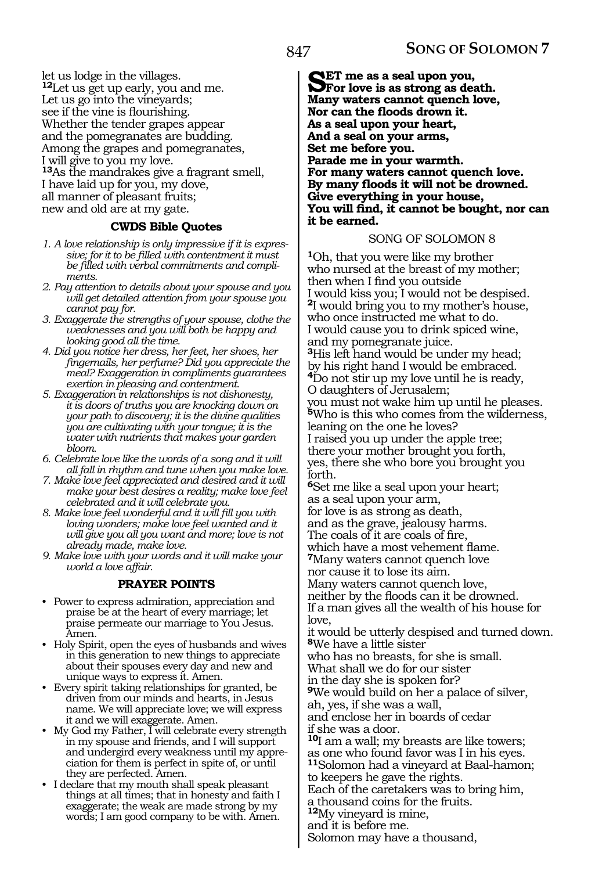let us lodge in the villages. **<sup>12</sup>**Let us get up early, you and me. Let us go into the vineyards; see if the vine is flourishing. Whether the tender grapes appear and the pomegranates are budding. Among the grapes and pomegranates, I will give to you my love. **<sup>13</sup>**As the mandrakes give a fragrant smell, I have laid up for you, my dove, all manner of pleasant fruits; new and old are at my gate.

# **CWDS Bible Quotes**

- *1. A love relationship is only impressive if it is expressive; for it to be filled with contentment it must be filled with verbal commitments and compliments.*
- *2. Pay attention to details about your spouse and you will get detailed attention from your spouse you cannot pay for.*
- *3. Exaggerate the strengths of your spouse, clothe the weaknesses and you will both be happy and looking good all the time.*
- *4. Did you notice her dress, her feet, her shoes, her fingernails, her perfume? Did you appreciate the meal? Exaggeration in compliments guarantees exertion in pleasing and contentment.*
- *5. Exaggeration in relationships is not dishonesty, it is doors of truths you are knocking down on your path to discovery; it is the divine qualities you are cultivating with your tongue; it is the water with nutrients that makes your garden bloom.*
- *6. Celebrate love like the words of a song and it will all fall in rhythm and tune when you make love.*
- *7. Make love feel appreciated and desired and it will make your best desires a reality; make love feel celebrated and it will celebrate you.*
- *8. Make love feel wonderful and it will fill you with loving wonders; make love feel wanted and it will give you all you want and more; love is not already made, make love.*
- *9. Make love with your words and it will make your world a love affair.*

# **PRAYER POINTS**

- Power to express admiration, appreciation and praise be at the heart of every marriage; let praise permeate our marriage to You Jesus. Amen.
- Holy Spirit, open the eyes of husbands and wives in this generation to new things to appreciate about their spouses every day and new and unique ways to express it. Amen.
- Every spirit taking relationships for granted, be driven from our minds and hearts, in Jesus name. We will appreciate love; we will express it and we will exaggerate. Amen.
- My God my Father, I will celebrate every strength in my spouse and friends, and I will support and undergird every weakness until my appreciation for them is perfect in spite of, or until they are perfected. Amen.
- I declare that my mouth shall speak pleasant things at all times; that in honesty and faith I exaggerate; the weak are made strong by my words; I am good company to be with. Amen.

**SET me as a seal upon you,**<br> **Set is as strong as death.**<br> **Mony waters connect suppek low Many waters cannot quench love, Nor can the floods drown it. As a seal upon your heart, And a seal on your arms, Set me before you. Parade me in your warmth. For many waters cannot quench love. By many floods it will not be drowned. Give everything in your house, You will find, it cannot be bought, nor can it be earned.** 

# SONG OF SOLOMON 8

**<sup>1</sup>**Oh, that you were like my brother who nursed at the breast of my mother; then when I find you outside I would kiss you; I would not be despised. **<sup>2</sup>**I would bring you to my mother's house, who once instructed me what to do. I would cause you to drink spiced wine, and my pomegranate juice. **<sup>3</sup>**His left hand would be under my head; by his right hand I would be embraced. **<sup>4</sup>**Do not stir up my love until he is ready, O daughters of Jerusalem; you must not wake him up until he pleases. **<sup>5</sup>**Who is this who comes from the wilderness, leaning on the one he loves? I raised you up under the apple tree; there your mother brought you forth, yes, there she who bore you brought you forth. **<sup>6</sup>**Set me like a seal upon your heart; as a seal upon your arm, for love is as strong as death, and as the grave, jealousy harms. The coals of it are coals of fire, which have a most vehement flame. **<sup>7</sup>**Many waters cannot quench love nor cause it to lose its aim.

Many waters cannot quench love, neither by the floods can it be drowned. If a man gives all the wealth of his house for love,

it would be utterly despised and turned down. **<sup>8</sup>**We have a little sister

who has no breasts, for she is small.

What shall we do for our sister

in the day she is spoken for?

**<sup>9</sup>**We would build on her a palace of silver, ah, yes, if she was a wall,

and enclose her in boards of cedar

if she was a door.

**<sup>10</sup>**I am a wall; my breasts are like towers; as one who found favor was I in his eyes. **<sup>11</sup>**Solomon had a vineyard at Baal-hamon;

to keepers he gave the rights.

Each of the caretakers was to bring him,

a thousand coins for the fruits.

**<sup>12</sup>**My vineyard is mine,

and it is before me.

Solomon may have a thousand,